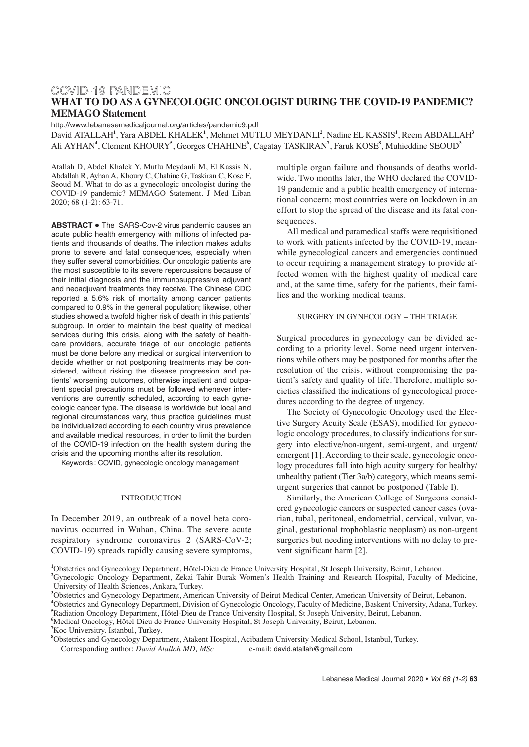# COVID-19 PANDEMIC **WHAT TO DO AS A GYNECOLOGIC ONCOLOGIST DURING THE COVID-19 PANDEMIC? MEMAGO Statement**

http://www.lebanesemedicaljournal.org/articles/pandemic9.pdf

David ATALLAH**<sup>1</sup>** , Yara ABDEL KHALEK**<sup>1</sup>** , Mehmet MUTLU MEYDANLI**<sup>2</sup>** , Nadine EL KASSIS**<sup>1</sup>** , Reem ABDALLAH**<sup>3</sup>** Ali AYHAN**<sup>4</sup>** , Clement KHOURY**<sup>5</sup>** , Georges CHAHINE**<sup>6</sup>** , Cagatay TASKIRAN**<sup>7</sup>** , Faruk KOSE**<sup>8</sup>** , Muhieddine SEOUD**<sup>3</sup>**

Atallah D, Abdel Khalek Y, Mutlu Meydanli M, El Kassis N, Abdallah R, Ayhan A, Khoury C, Chahine G, Taskiran C, Kose F, Seoud M. What to do as a gynecologic oncologist during the COVID-19 pandemic? MEMAGO Statement. J Med Liban 2020; 68 (1-2) : 63-71.

**ABSTRACT •** The SARS-Cov-2 virus pandemic causes an acute public health emergency with millions of infected patients and thousands of deaths. The infection makes adults prone to severe and fatal consequences, especially when they suffer several comorbidities. Our oncologic patients are the most susceptible to its severe repercussions because of their initial diagnosis and the immunosuppressive adjuvant and neoadjuvant treatments they receive. The Chinese CDC reported a 5.6% risk of mortality among cancer patients compared to 0.9% in the general population; likewise, other studies showed a twofold higher risk of death in this patients' subgroup. In order to maintain the best quality of medical services during this crisis, along with the safety of healthcare providers, accurate triage of our oncologic patients must be done before any medical or surgical intervention to decide whether or not postponing treatments may be considered, without risking the disease progression and patients' worsening outcomes, otherwise inpatient and outpatient special precautions must be followed whenever interventions are currently scheduled, according to each gynecologic cancer type. The disease is worldwide but local and regional circumstances vary, thus practice guidelines must be individualized according to each country virus prevalence and available medical resources, in order to limit the burden of the COVID-19 infection on the health system during the crisis and the upcoming months after its resolution.

Keywords : COVID, gynecologic oncology management

#### INTRODUCTION

In December 2019, an outbreak of a novel beta coronavirus occurred in Wuhan, China. The severe acute respiratory syndrome coronavirus 2 (SARS-CoV-2; COVID-19) spreads rapidly causing severe symptoms, multiple organ failure and thousands of deaths worldwide. Two months later, the WHO declared the COVID-19 pandemic and a public health emergency of international concern; most countries were on lockdown in an effort to stop the spread of the disease and its fatal consequences.

All medical and paramedical staffs were requisitioned to work with patients infected by the COVID-19, meanwhile gynecological cancers and emergencies continued to occur requiring a management strategy to provide affected women with the highest quality of medical care and, at the same time, safety for the patients, their families and the working medical teams.

# SURGERY IN GYNECOLOGY – THE TRIAGE

Surgical procedures in gynecology can be divided according to a priority level. Some need urgent interventions while others may be postponed for months after the resolution of the crisis, without compromising the patient's safety and quality of life. Therefore, multiple societies classified the indications of gynecological procedures according to the degree of urgency.

The Society of Gynecologic Oncology used the Elective Surgery Acuity Scale (ESAS), modified for gynecologic oncology procedures, to classify indications for surgery into elective/non-urgent, semi-urgent, and urgent/ emergent [1]. According to their scale, gynecologic oncology procedures fall into high acuity surgery for healthy/ unhealthy patient (Tier 3a/b) category, which means semiurgent surgeries that cannot be postponed (Table I).

Similarly, the American College of Surgeons considered gynecologic cancers or suspected cancer cases (ovarian, tubal, peritoneal, endometrial, cervical, vulvar, vaginal, gestational trophoblastic neoplasm) as non-urgent surgeries but needing interventions with no delay to prevent significant harm [2].

**1** Obstetrics and Gynecology Department, Hôtel-Dieu de France University Hospital, St Joseph University, Beirut, Lebanon.

**4** Obstetrics and Gynecology Department, Division of Gynecologic Oncology, Faculty of Medicine, Baskent University, Adana, Turkey. **5** Radiation Oncology Department, Hôtel-Dieu de France University Hospital, St Joseph University, Beirut, Lebanon.

**6** Medical Oncology, Hôtel-Dieu de France University Hospital, St Joseph University, Beirut, Lebanon.

Lebanese Medical Journal 2020 • Vol 68 (1-2) **63**

**<sup>2</sup>** Gynecologic Oncology Department, Zekai Tahir Burak Women's Health Training and Research Hospital, Faculty of Medicine, University of Health Sciences, Ankara, Turkey.

**<sup>3</sup>** Obstetrics and Gynecology Department, American University of Beirut Medical Center, American University of Beirut, Lebanon.

**<sup>7</sup>** Koc Universitry. Istanbul, Turkey.

**<sup>8</sup>** Obstetrics and Gynecology Department, Atakent Hospital, Acibadem University Medical School, Istanbul, Turkey. Corresponding author: *David Atallah MD, MSc* e-mail: david.atallah@gmail.com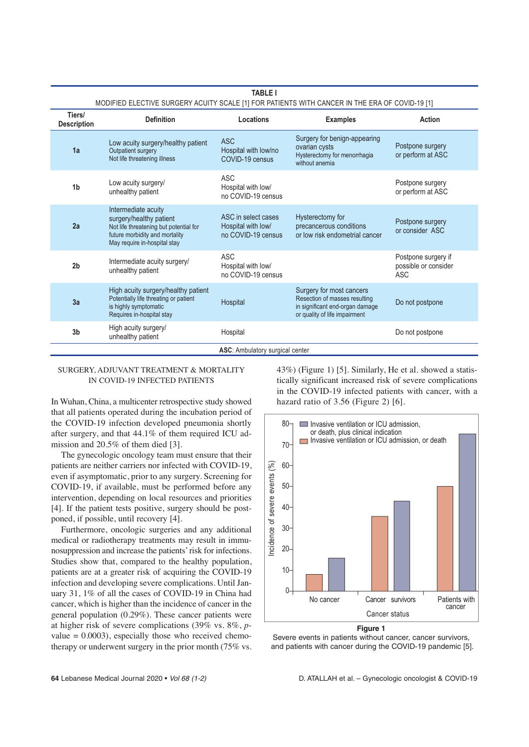| <b>TABLE I</b><br>MODIFIED ELECTIVE SURGERY ACUITY SCALE [1] FOR PATIENTS WITH CANCER IN THE ERA OF COVID-19 [1] |                                                                                                                                                            |                                                                 |                                                                                                                               |                                                           |  |
|------------------------------------------------------------------------------------------------------------------|------------------------------------------------------------------------------------------------------------------------------------------------------------|-----------------------------------------------------------------|-------------------------------------------------------------------------------------------------------------------------------|-----------------------------------------------------------|--|
| Tiers/<br><b>Description</b>                                                                                     | <b>Definition</b>                                                                                                                                          | Locations                                                       | <b>Examples</b>                                                                                                               | Action                                                    |  |
| 1a                                                                                                               | Low acuity surgery/healthy patient<br>Outpatient surgery<br>Not life threatening illness                                                                   | <b>ASC</b><br>Hospital with low/no<br>COVID-19 census           | Surgery for benign-appearing<br>ovarian cysts<br>Hysterectomy for menorrhagia<br>without anemia                               | Postpone surgery<br>or perform at ASC                     |  |
| 1 <sub>b</sub>                                                                                                   | Low acuity surgery/<br>unhealthy patient                                                                                                                   | <b>ASC</b><br>Hospital with low/<br>no COVID-19 census          |                                                                                                                               | Postpone surgery<br>or perform at ASC                     |  |
| 2a                                                                                                               | Intermediate acuity<br>surgery/healthy patient<br>Not life threatening but potential for<br>future morbidity and mortality<br>May require in-hospital stay | ASC in select cases<br>Hospital with low/<br>no COVID-19 census | Hysterectomy for<br>precancerous conditions<br>or low risk endometrial cancer                                                 | Postpone surgery<br>or consider ASC                       |  |
| 2 <sub>b</sub>                                                                                                   | Intermediate acuity surgery/<br>unhealthy patient                                                                                                          | ASC<br>Hospital with low/<br>no COVID-19 census                 |                                                                                                                               | Postpone surgery if<br>possible or consider<br><b>ASC</b> |  |
| 3a                                                                                                               | High acuity surgery/healthy patient<br>Potentially life threating or patient<br>is highly symptomatic<br>Requires in-hospital stay                         | Hospital                                                        | Surgery for most cancers<br>Resection of masses resulting<br>in significant end-organ damage<br>or quality of life impairment | Do not postpone                                           |  |
| 3 <sub>b</sub>                                                                                                   | High acuity surgery/<br>unhealthy patient                                                                                                                  | Hospital                                                        |                                                                                                                               | Do not postpone                                           |  |
| ASC: Ambulatory surgical center                                                                                  |                                                                                                                                                            |                                                                 |                                                                                                                               |                                                           |  |

#### SURGERY, ADJUVANT TREATMENT & MORTALITY IN COVID-19 INFECTED PATIENTS

In Wuhan, China, a multicenter retrospective study showed that all patients operated during the incubation period of the COVID-19 infection developed pneumonia shortly after surgery, and that 44.1% of them required ICU admission and 20.5% of them died [3].

The gynecologic oncology team must ensure that their patients are neither carriers nor infected with COVID-19, even if asymptomatic, prior to any surgery. Screening for COVID-19, if available, must be performed before any intervention, depending on local resources and priorities [4]. If the patient tests positive, surgery should be postponed, if possible, until recovery [4].

Furthermore, oncologic surgeries and any additional medical or radiotherapy treatments may result in immunosuppression and increase the patients'risk for infections. Studies show that, compared to the healthy population, patients are at a greater risk of acquiring the COVID-19 infection and developing severe complications. Until January 31, 1% of all the cases of COVID-19 in China had cancer, which is higher than the incidence of cancer in the general population (0.29%). These cancer patients were at higher risk of severe complications (39% vs. 8%, *p*value  $= 0.0003$ , especially those who received chemotherapy or underwent surgery in the prior month (75% vs. 43%) (Figure 1) [5]. Similarly, He et al. showed a statistically significant increased risk of severe complications in the COVID-19 infected patients with cancer, with a hazard ratio of 3.56 (Figure 2) [6].



**Figure 1** 

Severe events in patients without cancer, cancer survivors, and patients with cancer during the COVID-19 pandemic [5].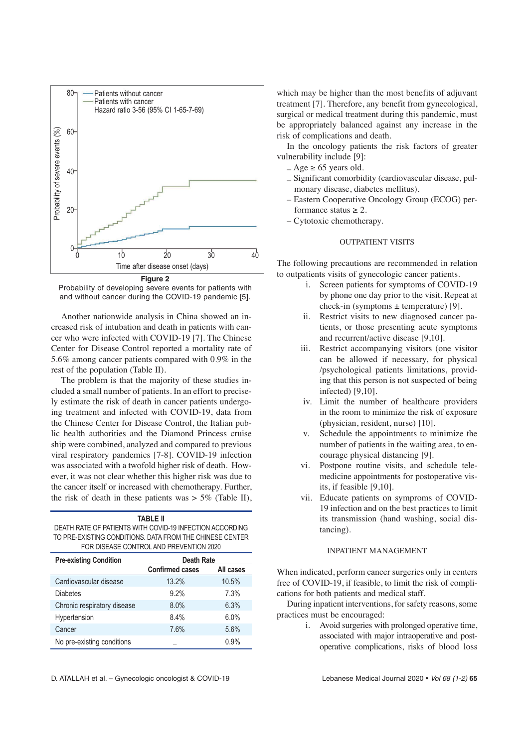

Probability of developing severe events for patients with and without cancer during the COVID-19 pandemic [5].

Another nationwide analysis in China showed an increased risk of intubation and death in patients with cancer who were infected with COVID-19 [7]. The Chinese Center for Disease Control reported a mortality rate of 5.6% among cancer patients compared with 0.9% in the rest of the population (Table II).

The problem is that the majority of these studies included a small number of patients. In an effort to precisely estimate the risk of death in cancer patients undergoing treatment and infected with COVID-19, data from the Chinese Center for Disease Control, the Italian public health authorities and the Diamond Princess cruise ship were combined, analyzed and compared to previous viral respiratory pandemics [7-8]. COVID-19 infection was associated with a twofold higher risk of death. However, it was not clear whether this higher risk was due to the cancer itself or increased with chemotherapy. Further, the risk of death in these patients was  $> 5\%$  (Table II),

| <b>TABLE II</b>                                          |                        |           |  |  |  |
|----------------------------------------------------------|------------------------|-----------|--|--|--|
| DEATH RATE OF PATIENTS WITH COVID-19 INFECTION ACCORDING |                        |           |  |  |  |
| TO PRE-EXISTING CONDITIONS. DATA FROM THE CHINESE CENTER |                        |           |  |  |  |
| FOR DISEASE CONTROL AND PREVENTION 2020                  |                        |           |  |  |  |
| <b>Pre-existing Condition</b>                            | <b>Death Rate</b>      |           |  |  |  |
|                                                          | <b>Confirmed cases</b> | All cases |  |  |  |
| Cardiovascular disease                                   | 13.2%                  | 10.5%     |  |  |  |
| <b>Diabetes</b>                                          | 9.2%                   | 7.3%      |  |  |  |
| Chronic respiratory disease                              | 8.0%                   | 6.3%      |  |  |  |
| Hypertension                                             | 8.4%                   | 6.0%      |  |  |  |

Cancer 7.6% 5.6%

which may be higher than the most benefits of adjuvant treatment [7]. Therefore, any benefit from gynecological, surgical or medical treatment during this pandemic, must be appropriately balanced against any increase in the risk of complications and death.

In the oncology patients the risk factors of greater vulnerability include [9]:

- $-$  Age  $\geq$  65 years old.
- Significant comorbidity (cardiovascular disease, pulmonary disease, diabetes mellitus).
- Eastern Cooperative Oncology Group (ECOG) performance status  $\geq 2$ .
- Cytotoxic chemotherapy.

### OUTPATIENT VISITS

The following precautions are recommended in relation to outpatients visits of gynecologic cancer patients.

- i. Screen patients for symptoms of COVID-19 by phone one day prior to the visit. Repeat at check-in (symptoms  $\pm$  temperature) [9].
- ii. Restrict visits to new diagnosed cancer patients, or those presenting acute symptoms and recurrent/active disease [9,10].
- iii. Restrict accompanying visitors (one visitor can be allowed if necessary, for physical /psychological patients limitations, providing that this person is not suspected of being infected) [9,10].
- iv. Limit the number of healthcare providers in the room to minimize the risk of exposure (physician, resident, nurse) [10].
- v. Schedule the appointments to minimize the number of patients in the waiting area, to encourage physical distancing [9].
- vi. Postpone routine visits, and schedule telemedicine appointments for postoperative visits, if feasible [9,10].
- vii. Educate patients on symproms of COVID-19 infection and on the best practices to limit its transmission (hand washing, social distancing).

# INPATIENT MANAGEMENT

When indicated, perform cancer surgeries only in centers free of COVID-19, if feasible, to limit the risk of complications for both patients and medical staff.

During inpatient interventions, for safety reasons, some practices must be encouraged:

> i. Avoid surgeries with prolonged operative time, associated with major intraoperative and postoperative complications, risks of blood loss

D. ATALLAH et al. – Gynecologic oncologist & COVID-19 Lebanese Medical Journal 2020 • Vol 68 (1-2) **65**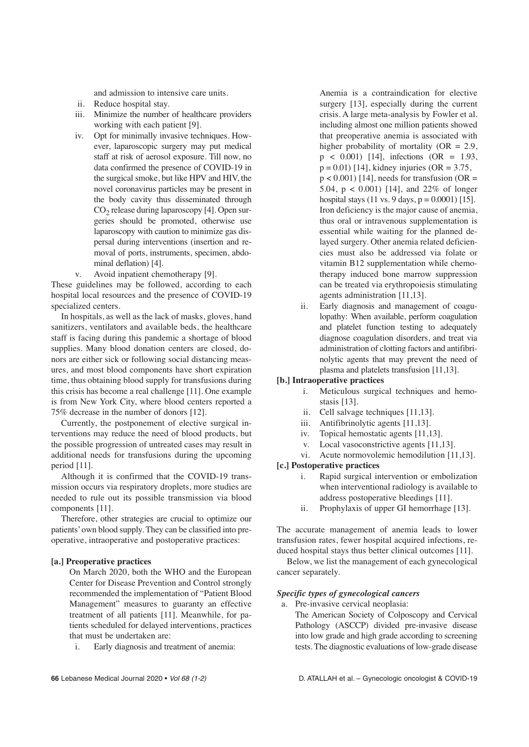and admission to intensive care units.

- ii. Reduce hospital stay.
- iii. Minimize the number of healthcare providers working with each patient [9].
- iv. Opt for minimally invasive techniques. However, laparoscopic surgery may put medical staff at risk of aerosol exposure. Till now, no data confirmed the presence of COVID-19 in the surgical smoke, but like HPV and HIV, the novel coronavirus particles may be present in the body cavity thus disseminated through  $CO<sub>2</sub>$  release during laparoscopy [4]. Open surgeries should be promoted, otherwise use laparoscopy with caution to minimize gas dispersal during interventions (insertion and removal of ports, instruments, specimen, abdominal deflation) [4].
- v. Avoid inpatient chemotherapy [9].

These guidelines may be followed, according to each hospital local resources and the presence of COVID-19 specialized centers.

In hospitals, as well as the lack of masks, gloves, hand sanitizers, ventilators and available beds, the healthcare staff is facing during this pandemic a shortage of blood supplies. Many blood donation centers are closed, donors are either sick or following social distancing measures, and most blood components have short expiration time, thus obtaining blood supply for transfusions during this crisis has become a real challenge [11]. One example is from New York City, where blood centers reported a 75% decrease in the number of donors [12].

Currently, the postponement of elective surgical interventions may reduce the need of blood products, but the possible progression of untreated cases may result in additional needs for transfusions during the upcoming period [11].

Although it is confirmed that the COVID-19 transmission occurs via respiratory droplets, more studies are needed to rule out its possible transmission via blood components [11].

Therefore, other strategies are crucial to optimize our patients'own blood supply. They can be classified into preoperative, intraoperative and postoperative practices:

### **[a.] Preoperative practices**

On March 2020, both the WHO and the European Center for Disease Prevention and Control strongly recommended the implementation of "Patient Blood Management" measures to guaranty an effective treatment of all patients [11]. Meanwhile, for patients scheduled for delayed interventions, practices that must be undertaken are:

i. Early diagnosis and treatment of anemia:

Anemia is a contraindication for elective surgery [13], especially during the current crisis. A large meta-analysis by Fowler et al. including almost one million patients showed that preoperative anemia is associated with higher probability of mortality  $(OR = 2.9,$  $p \le 0.001$  [14], infections (OR = 1.93,  $p = 0.01$  [14], kidney injuries (OR = 3.75,  $p < 0.001$ ) [14], needs for transfusion (OR = 5.04, p < 0.001) [14], and 22% of longer hospital stays (11 vs. 9 days,  $p = 0.0001$ ) [15]. Iron deficiency is the major cause of anemia, thus oral or intravenous supplementation is essential while waiting for the planned delayed surgery. Other anemia related deficiencies must also be addressed via folate or vitamin B12 supplementation while chemotherapy induced bone marrow suppression can be treated via erythropoiesis stimulating agents administration [11,13].

ii. Early diagnosis and management of coagulopathy: When available, perform coagulation and platelet function testing to adequately diagnose coagulation disorders, and treat via administration of clotting factors and antifibrinolytic agents that may prevent the need of plasma and platelets transfusion [11,13].

### **[b.] Intraoperative practices**

- i. Meticulous surgical techniques and hemostasis [13].
- ii. Cell salvage techniques [11,13].
- iii. Antifibrinolytic agents [11,13].
- iv. Topical hemostatic agents [11,13].
- v. Local vasoconstrictive agents [11,13].
- vi. Acute normovolemic hemodilution [11,13].

### **[c.] Postoperative practices**

- i. Rapid surgical intervention or embolization when interventional radiology is available to address postoperative bleedings [11].
- ii. Prophylaxis of upper GI hemorrhage [13].

The accurate management of anemia leads to lower transfusion rates, fewer hospital acquired infections, reduced hospital stays thus better clinical outcomes [11].

Below, we list the management of each gynecological cancer separately.

### *Specific types of gynecological cancers*

- a. Pre-invasive cervical neoplasia:
	- The American Society of Colposcopy and Cervical Pathology (ASCCP) divided pre-invasive disease into low grade and high grade according to screening tests. The diagnostic evaluations of low-grade disease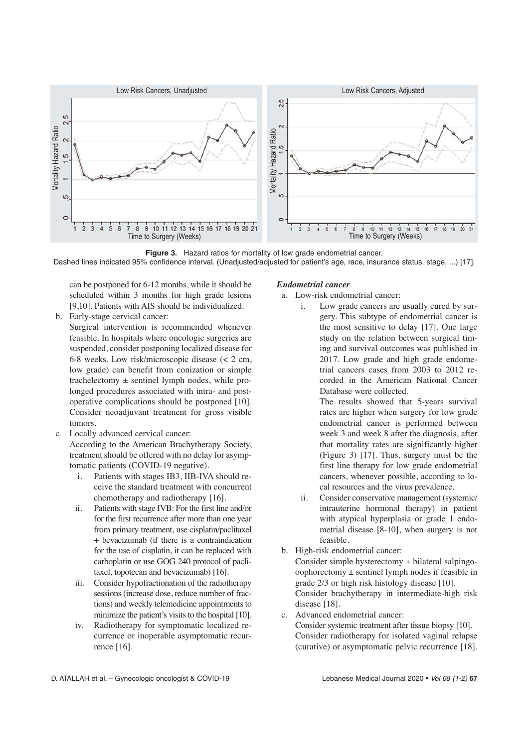

**Figure 3.** Hazard ratios for mortality of low grade endometrial cancer. Dashed lines indicated 95% confidence interval. (Unadjusted/adjusted for patient's age, race, insurance status, stage, ...) [17].

can be postponed for 6-12 months, while it should be scheduled within 3 months for high grade lesions [9,10]. Patients with AIS should be individualized.

b. Early-stage cervical cancer:

Surgical intervention is recommended whenever feasible. In hospitals where oncologic surgeries are suspended, consider postponing localized disease for 6-8 weeks. Low risk/microscopic disease (< 2 cm, low grade) can benefit from conization or simple trachelectomy  $\pm$  sentinel lymph nodes, while prolonged procedures associated with intra- and postoperative complications should be postponed [10]. Consider neoadjuvant treatment for gross visible tumors.

c. Locally advanced cervical cancer:

According to the American Brachytherapy Society, treatment should be offered with no delay for asymptomatic patients (COVID-19 negative).

- i. Patients with stages IB3, IIB-IVA should receive the standard treatment with concurrent chemotherapy and radiotherapy [16].
- ii. Patients with stage IVB: For the first line and/or for the first recurrence after more than one year from primary treatment, use cisplatin/paclitaxel + bevacizumab (if there is a contraindication for the use of cisplatin, it can be replaced with carboplatin or use GOG 240 protocol of paclitaxel, topotecan and bevacizumab) [16].
- iii. Consider hypofractionation of the radiotherapy sessions (increase dose, reduce number of fractions) and weekly telemedicine appointments to minimize the patient's visits to the hospital [10].
- iv. Radiotherapy for symptomatic localized recurrence or inoperable asymptomatic recurrence [16].

## *Endometrial cancer*

- a. Low-risk endometrial cancer:
	- i. Low grade cancers are usually cured by surgery. This subtype of endometrial cancer is the most sensitive to delay [17]. One large study on the relation between surgical timing and survival outcomes was published in 2017. Low grade and high grade endometrial cancers cases from 2003 to 2012 recorded in the American National Cancer Database were collected.

The results showed that 5-years survival rates are higher when surgery for low grade endometrial cancer is performed between week 3 and week 8 after the diagnosis, after that mortality rates are significantly higher (Figure 3) [17]. Thus, surgery must be the first line therapy for low grade endometrial cancers, whenever possible, according to local resources and the virus prevalence.

- ii. Consider conservative management (systemic/ intrauterine hormonal therapy) in patient with atypical hyperplasia or grade 1 endometrial disease [8-10], when surgery is not feasible.
- b. High-risk endometrial cancer:

Consider simple hysterectomy + bilateral salpingooophorectomy ± sentinel lymph nodes if feasible in grade 2/3 or high risk histology disease [10]. Consider brachytherapy in intermediate-high risk disease [18].

- c. Advanced endometrial cancer:
	- Consider systemic treatment after tissue biopsy [10]. Consider radiotherapy for isolated vaginal relapse (curative) or asymptomatic pelvic recurrence [18].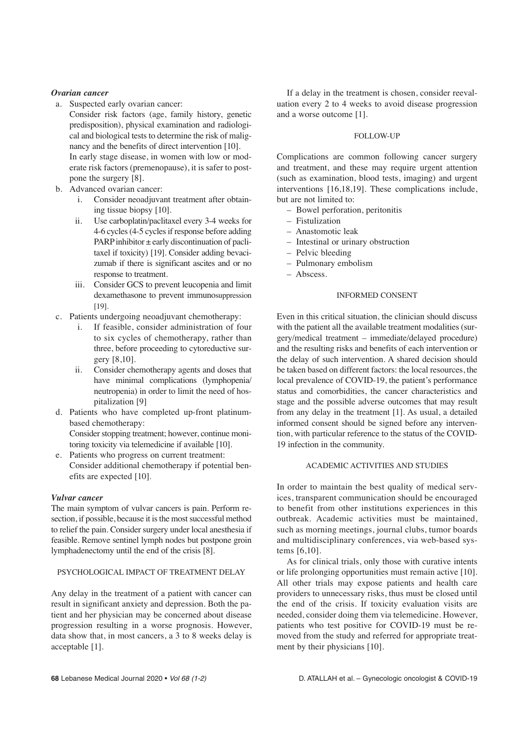### *Ovarian cancer*

- a. Suspected early ovarian cancer:
- Consider risk factors (age, family history, genetic predisposition), physical examination and radiological and biological tests to determine the risk of malignancy and the benefits of direct intervention [10]. In early stage disease, in women with low or moderate risk factors (premenopause), it is safer to postpone the surgery [8].
- b. Advanced ovarian cancer:
	- i. Consider neoadjuvant treatment after obtaining tissue biopsy [10].
	- ii. Use carboplatin/paclitaxel every 3-4 weeks for 4-6 cycles (4-5 cycles if response before adding PARP inhibitor  $\pm$  early discontinuation of paclitaxel if toxicity) [19]. Consider adding bevacizumab if there is significant ascites and or no response to treatment.
	- iii. Consider GCS to prevent leucopenia and limit dexamethasone to prevent immunosuppression [19].
- c. Patients undergoing neoadjuvant chemotherapy:
	- i. If feasible, consider administration of four to six cycles of chemotherapy, rather than three, before proceeding to cytoreductive surgery [8,10].
	- ii. Consider chemotherapy agents and doses that have minimal complications (lymphopenia/ neutropenia) in order to limit the need of hospitalization [9]
- d. Patients who have completed up-front platinumbased chemotherapy: Consider stopping treatment; however, continue moni-

toring toxicity via telemedicine if available [10].

e. Patients who progress on current treatment: Consider additional chemotherapy if potential benefits are expected [10].

#### *Vulvar cancer*

The main symptom of vulvar cancers is pain. Perform resection, if possible, because it is the most successful method to relief the pain. Consider surgery under local anesthesia if feasible. Remove sentinel lymph nodes but postpone groin lymphadenectomy until the end of the crisis [8].

### PSYCHOLOGICAL IMPACT OF TREATMENT DELAY

Any delay in the treatment of a patient with cancer can result in significant anxiety and depression. Both the patient and her physician may be concerned about disease progression resulting in a worse prognosis. However, data show that, in most cancers, a 3 to 8 weeks delay is acceptable [1].

If a delay in the treatment is chosen, consider reevaluation every 2 to 4 weeks to avoid disease progression and a worse outcome [1].

### FOLLOW-UP

Complications are common following cancer surgery and treatment, and these may require urgent attention (such as examination, blood tests, imaging) and urgent interventions [16,18,19]. These complications include, but are not limited to:

- Bowel perforation, peritonitis
- Fistulization
- Anastomotic leak
- Intestinal or urinary obstruction
- Pelvic bleeding
- Pulmonary embolism
- Abscess.

# INFORMED CONSENT

Even in this critical situation, the clinician should discuss with the patient all the available treatment modalities (surgery/medical treatment – immediate/delayed procedure) and the resulting risks and benefits of each intervention or the delay of such intervention. A shared decision should be taken based on different factors: the local resources, the local prevalence of COVID-19, the patient's performance status and comorbidities, the cancer characteristics and stage and the possible adverse outcomes that may result from any delay in the treatment [1]. As usual, a detailed informed consent should be signed before any intervention, with particular reference to the status of the COVID-19 infection in the community.

### ACADEMIC ACTIVITIES AND STUDIES

In order to maintain the best quality of medical services, transparent communication should be encouraged to benefit from other institutions experiences in this outbreak. Academic activities must be maintained, such as morning meetings, journal clubs, tumor boards and multidisciplinary conferences, via web-based systems [6,10].

As for clinical trials, only those with curative intents or life prolonging opportunities must remain active [10]. All other trials may expose patients and health care providers to unnecessary risks, thus must be closed until the end of the crisis. If toxicity evaluation visits are needed, consider doing them via telemedicine. However, patients who test positive for COVID-19 must be removed from the study and referred for appropriate treatment by their physicians [10].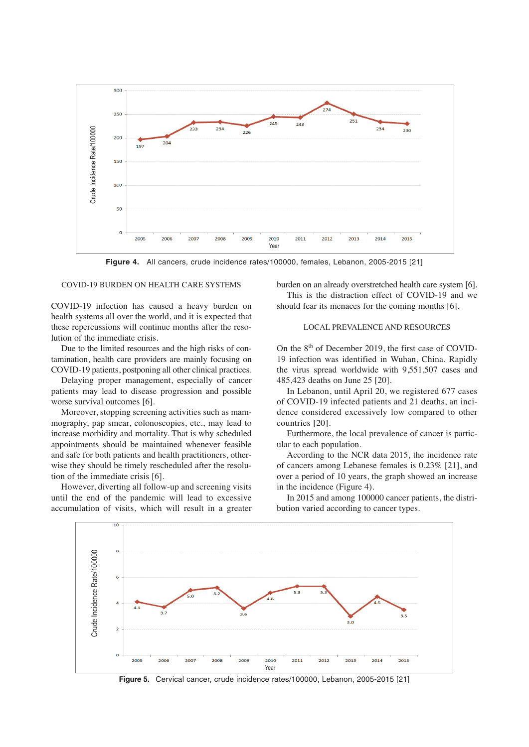

**Figure 4.** All cancers, crude incidence rates/100000, females, Lebanon, 2005-2015 [21]

### COVID-19 BURDEN ON HEALTH CARE SYSTEMS

COVID-19 infection has caused a heavy burden on health systems all over the world, and it is expected that these repercussions will continue months after the resolution of the immediate crisis.

Due to the limited resources and the high risks of contamination, health care providers are mainly focusing on COVID-19 patients, postponing all other clinical practices.

Delaying proper management, especially of cancer patients may lead to disease progression and possible worse survival outcomes [6].

Moreover, stopping screening activities such as mammography, pap smear, colonoscopies, etc., may lead to increase morbidity and mortality. That is why scheduled appointments should be maintained whenever feasible and safe for both patients and health practitioners, otherwise they should be timely rescheduled after the resolution of the immediate crisis [6].

However, diverting all follow-up and screening visits until the end of the pandemic will lead to excessive accumulation of visits, which will result in a greater

burden on an already overstretched health care system [6]. This is the distraction effect of COVID-19 and we should fear its menaces for the coming months [6].

### LOCAL PREVALENCE AND RESOURCES

On the  $8<sup>th</sup>$  of December 2019, the first case of COVID-19 infection was identified in Wuhan, China. Rapidly the virus spread worldwide with 9,551,507 cases and 485,423 deaths on June 25 [20].

In Lebanon, until April 20, we registered 677 cases of COVID-19 infected patients and 21 deaths, an incidence considered excessively low compared to other countries [20].

Furthermore, the local prevalence of cancer is particular to each population.

According to the NCR data 2015, the incidence rate of cancers among Lebanese females is 0.23% [21], and over a period of 10 years, the graph showed an increase in the incidence (Figure 4).

In 2015 and among 100000 cancer patients, the distribution varied according to cancer types.



**Figure 5.** Cervical cancer, crude incidence rates/100000, Lebanon, 2005-2015 [21]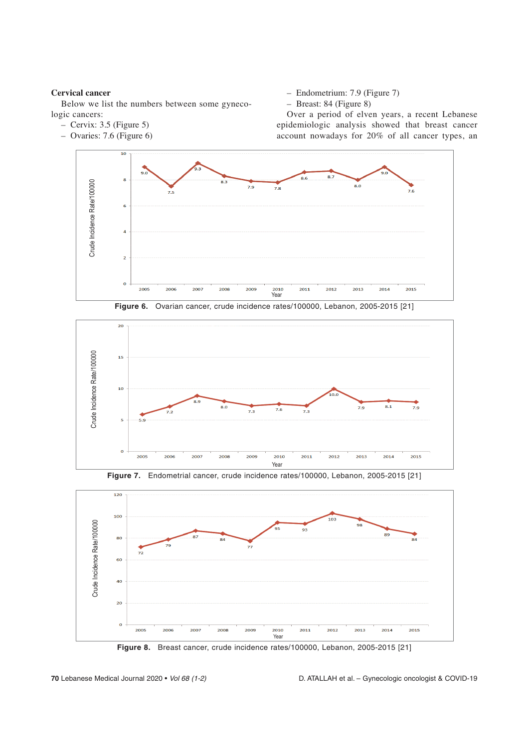### **Cervical cancer**

Below we list the numbers between some gynecologic cancers:

- Cervix: 3.5 (Figure 5)
- Ovaries: 7.6 (Figure 6)
- Endometrium: 7.9 (Figure 7)
- Breast: 84 (Figure 8)

Over a period of elven years, a recent Lebanese epidemiologic analysis showed that breast cancer account nowadays for 20% of all cancer types, an



**Figure 6.** Ovarian cancer, crude incidence rates/100000, Lebanon, 2005-2015 [21]







**Figure 8.** Breast cancer, crude incidence rates/100000, Lebanon, 2005-2015 [21]